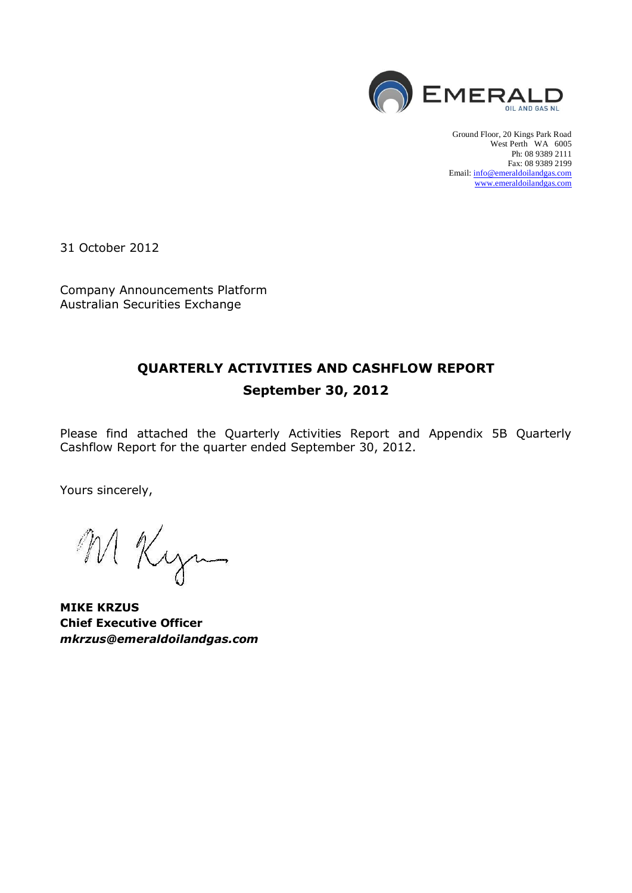

Ground Floor, 20 Kings Park Road West Perth WA 6005 Ph: 08 9389 2111 Fax: 08 9389 2199 Email[: info@emeraldoilandgas.com](mailto:info@emeraldoilandgas.com) [www.emeraldoilandgas.com](http://www.emeraldoilandgas.com/)

31 October 2012

Company Announcements Platform Australian Securities Exchange

# **QUARTERLY ACTIVITIES AND CASHFLOW REPORT September 30, 2012**

Please find attached the Quarterly Activities Report and Appendix 5B Quarterly Cashflow Report for the quarter ended September 30, 2012.

Yours sincerely,

M Kyn

**MIKE KRZUS Chief Executive Officer** *mkrzus@emeraldoilandgas.com*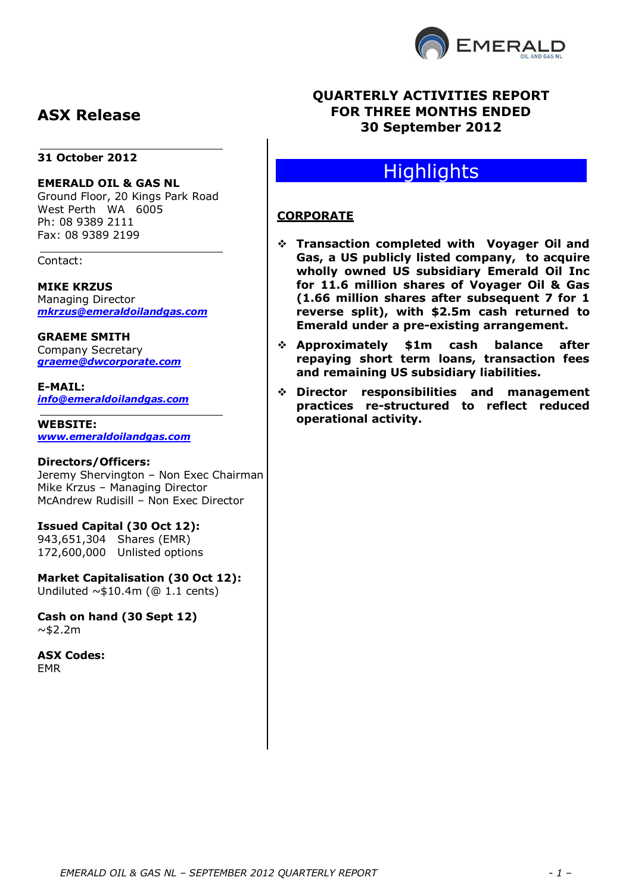

# **ASX Release**

#### **31 October 2012**

#### **EMERALD OIL & GAS NL**

Ground Floor, 20 Kings Park Road West Perth WA 6005 Ph: 08 9389 2111 Fax: 08 9389 2199

Contact:

# **MIKE KRZUS**

Managing Director *[mkrzus@emeraldoilandgas.com](mailto:mkrzus@emeraldoilandgas.com)*

**GRAEME SMITH**

Company Secretary *graeme@dwcorporate.com*

**E-MAIL:** *info@emeraldoilandgas.com*

**WEBSITE:** *[www.emeraldoilandgas.com](http://www.emeraldoilandgas.com/)*

#### **Directors/Officers:**

Jeremy Shervington – Non Exec Chairman Mike Krzus – Managing Director McAndrew Rudisill – Non Exec Director

#### **Issued Capital (30 Oct 12):**

943,651,304 Shares (EMR) 172,600,000 Unlisted options

**Market Capitalisation (30 Oct 12):** Undiluted  $\sim$ \$10.4m (@ 1.1 cents)

**Cash on hand (30 Sept 12)**  $~\sim$ \$2.2m

**ASX Codes:** EMR

# **QUARTERLY ACTIVITIES REPORT FOR THREE MONTHS ENDED 30 September 2012**

# **Highlights**

# **CORPORATE**

- **Transaction completed with Voyager Oil and Gas, a US publicly listed company, to acquire wholly owned US subsidiary Emerald Oil Inc for 11.6 million shares of Voyager Oil & Gas (1.66 million shares after subsequent 7 for 1 reverse split), with \$2.5m cash returned to Emerald under a pre-existing arrangement.**
- **Approximately \$1m cash balance after repaying short term loans, transaction fees and remaining US subsidiary liabilities.**
- **Director responsibilities and management practices re-structured to reflect reduced operational activity.**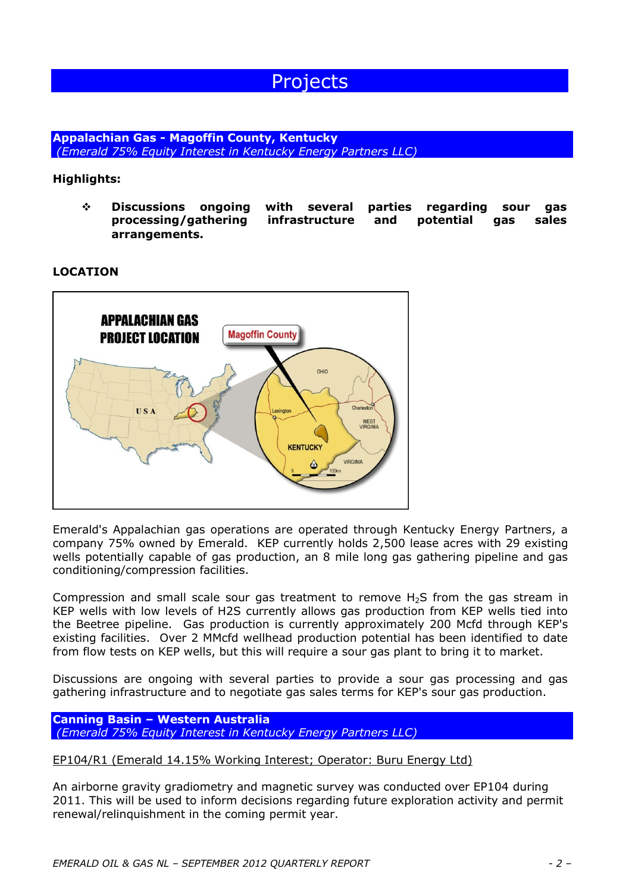# **Projects**

**Appalachian Gas - Magoffin County, Kentucky** *(Emerald 75% Equity Interest in Kentucky Energy Partners LLC)*

### **Highlights:**

 **Discussions ongoing with several parties regarding sour gas processing/gathering infrastructure and potential gas sales arrangements.**

#### **LOCATION**



Emerald's Appalachian gas operations are operated through Kentucky Energy Partners, a company 75% owned by Emerald. KEP currently holds 2,500 lease acres with 29 existing wells potentially capable of gas production, an 8 mile long gas gathering pipeline and gas conditioning/compression facilities.

Compression and small scale sour gas treatment to remove  $H<sub>2</sub>S$  from the gas stream in KEP wells with low levels of H2S currently allows gas production from KEP wells tied into the Beetree pipeline. Gas production is currently approximately 200 Mcfd through KEP's existing facilities. Over 2 MMcfd wellhead production potential has been identified to date from flow tests on KEP wells, but this will require a sour gas plant to bring it to market.

Discussions are ongoing with several parties to provide a sour gas processing and gas gathering infrastructure and to negotiate gas sales terms for KEP's sour gas production.

#### **Canning Basin – Western Australia** *(Emerald 75% Equity Interest in Kentucky Energy Partners LLC)*

#### EP104/R1 (Emerald 14.15% Working Interest; Operator: Buru Energy Ltd)

An airborne gravity gradiometry and magnetic survey was conducted over EP104 during 2011. This will be used to inform decisions regarding future exploration activity and permit renewal/relinquishment in the coming permit year.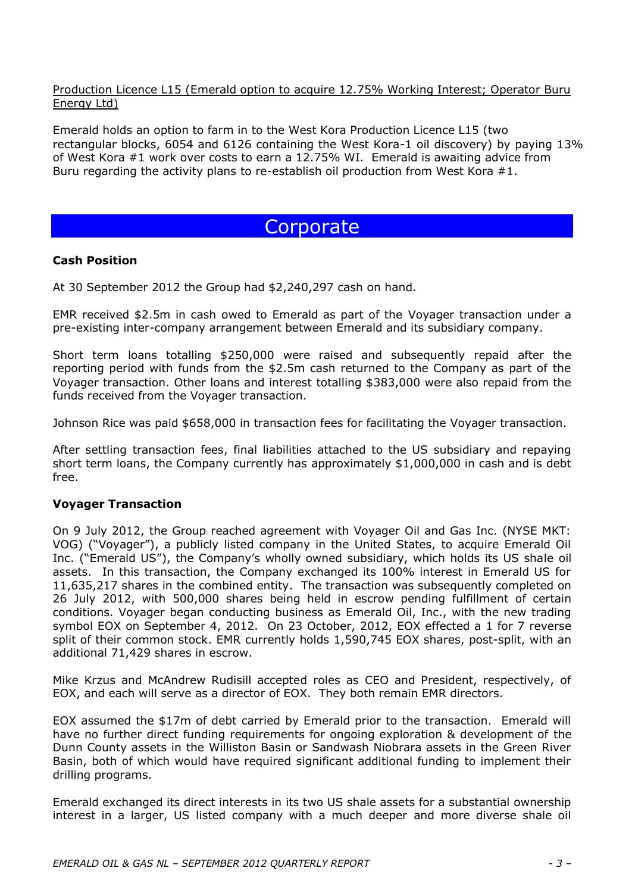### Production Licence L15 (Emerald option to acquire 12.75% Working Interest; Operator Buru Energy Ltd)

Emerald holds an option to farm in to the West Kora Production Licence L15 (two rectangular blocks, 6054 and 6126 containing the West Kora-1 oil discovery) by paying 13% of West Kora #1 work over costs to earn a 12.75% WI. Emerald is awaiting advice from Buru regarding the activity plans to re-establish oil production from West Kora #1.

# **Corporate**

### **Cash Position**

At 30 September 2012 the Group had \$2,240,297 cash on hand.

EMR received \$2.5m in cash owed to Emerald as part of the Voyager transaction under a pre-existing inter-company arrangement between Emerald and its subsidiary company.

Short term loans totalling \$250,000 were raised and subsequently repaid after the reporting period with funds from the \$2.5m cash returned to the Company as part of the Voyager transaction. Other loans and interest totalling \$383,000 were also repaid from the funds received from the Voyager transaction.

Johnson Rice was paid \$658,000 in transaction fees for facilitating the Voyager transaction.

After settling transaction fees, final liabilities attached to the US subsidiary and repaying short term loans, the Company currently has approximately \$1,000,000 in cash and is debt free.

### **Voyager Transaction**

On 9 July 2012, the Group reached agreement with Voyager Oil and Gas Inc. (NYSE MKT: VOG) ("Voyager"), a publicly listed company in the United States, to acquire Emerald Oil Inc. ("Emerald US"), the Company's wholly owned subsidiary, which holds its US shale oil assets. In this transaction, the Company exchanged its 100% interest in Emerald US for 11,635,217 shares in the combined entity. The transaction was subsequently completed on 26 July 2012, with 500,000 shares being held in escrow pending fulfillment of certain conditions. Voyager began conducting business as Emerald Oil, Inc., with the new trading symbol EOX on September 4, 2012. On 23 October, 2012, EOX effected a 1 for 7 reverse split of their common stock. EMR currently holds 1,590,745 EOX shares, post-split, with an additional 71,429 shares in escrow.

Mike Krzus and McAndrew Rudisill accepted roles as CEO and President, respectively, of EOX, and each will serve as a director of EOX. They both remain EMR directors.

EOX assumed the \$17m of debt carried by Emerald prior to the transaction. Emerald will have no further direct funding requirements for ongoing exploration & development of the Dunn County assets in the Williston Basin or Sandwash Niobrara assets in the Green River Basin, both of which would have required significant additional funding to implement their drilling programs.

Emerald exchanged its direct interests in its two US shale assets for a substantial ownership interest in a larger, US listed company with a much deeper and more diverse shale oil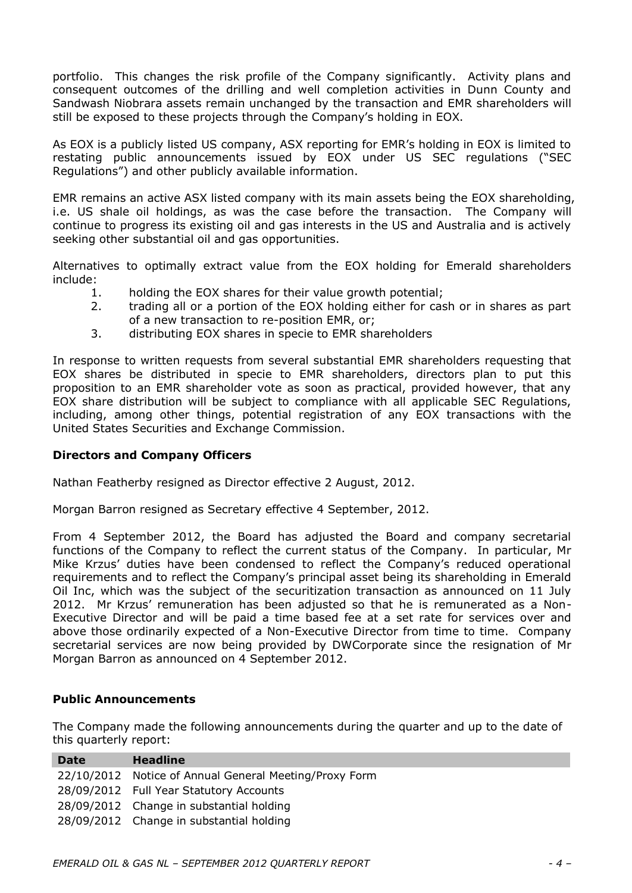portfolio. This changes the risk profile of the Company significantly. Activity plans and consequent outcomes of the drilling and well completion activities in Dunn County and Sandwash Niobrara assets remain unchanged by the transaction and EMR shareholders will still be exposed to these projects through the Company's holding in EOX.

As EOX is a publicly listed US company, ASX reporting for EMR's holding in EOX is limited to restating public announcements issued by EOX under US SEC regulations ("SEC Regulations") and other publicly available information.

EMR remains an active ASX listed company with its main assets being the EOX shareholding, i.e. US shale oil holdings, as was the case before the transaction. The Company will continue to progress its existing oil and gas interests in the US and Australia and is actively seeking other substantial oil and gas opportunities.

Alternatives to optimally extract value from the EOX holding for Emerald shareholders include:

- 1. holding the EOX shares for their value growth potential;
- 2. trading all or a portion of the EOX holding either for cash or in shares as part of a new transaction to re-position EMR, or;
- 3. distributing EOX shares in specie to EMR shareholders

In response to written requests from several substantial EMR shareholders requesting that EOX shares be distributed in specie to EMR shareholders, directors plan to put this proposition to an EMR shareholder vote as soon as practical, provided however, that any EOX share distribution will be subject to compliance with all applicable SEC Regulations, including, among other things, potential registration of any EOX transactions with the United States Securities and Exchange Commission.

#### **Directors and Company Officers**

Nathan Featherby resigned as Director effective 2 August, 2012.

Morgan Barron resigned as Secretary effective 4 September, 2012.

From 4 September 2012, the Board has adjusted the Board and company secretarial functions of the Company to reflect the current status of the Company. In particular, Mr Mike Krzus' duties have been condensed to reflect the Company's reduced operational requirements and to reflect the Company's principal asset being its shareholding in Emerald Oil Inc, which was the subject of the securitization transaction as announced on 11 July 2012. Mr Krzus' remuneration has been adjusted so that he is remunerated as a Non-Executive Director and will be paid a time based fee at a set rate for services over and above those ordinarily expected of a Non-Executive Director from time to time. Company secretarial services are now being provided by DWCorporate since the resignation of Mr Morgan Barron as announced on 4 September 2012.

#### **Public Announcements**

The Company made the following announcements during the quarter and up to the date of this quarterly report:

| <b>Date</b> | <b>Headline</b>                                        |
|-------------|--------------------------------------------------------|
|             | 22/10/2012 Notice of Annual General Meeting/Proxy Form |
|             | 28/09/2012 Full Year Statutory Accounts                |
|             | 28/09/2012 Change in substantial holding               |
|             | 28/09/2012 Change in substantial holding               |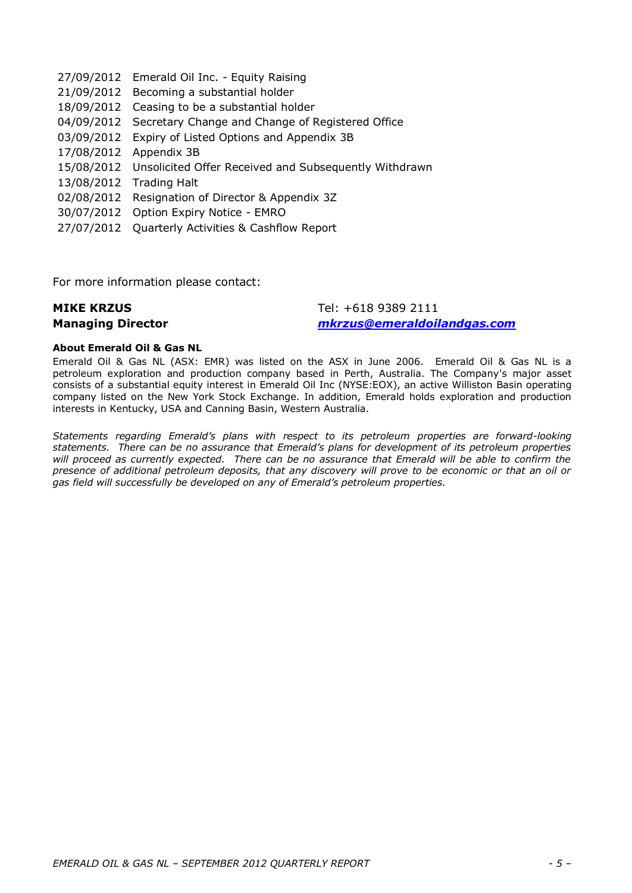27/09/2012 Emerald Oil Inc. - Equity Raising 21/09/2012 Becoming a substantial holder 18/09/2012 Ceasing to be a substantial holder 04/09/2012 Secretary Change and Change of Registered Office 03/09/2012 Expiry of Listed Options and Appendix 3B 17/08/2012 Appendix 3B 15/08/2012 Unsolicited Offer Received and Subsequently Withdrawn 13/08/2012 Trading Halt 02/08/2012 Resignation of Director & Appendix 3Z 30/07/2012 Option Expiry Notice - EMRO 27/07/2012 Quarterly Activities & Cashflow Report

For more information please contact:

#### **MIKE KRZUS Managing Director** Tel: +618 9389 2111 *[mkrzus@emeraldoilandgas.com](mailto:mkrzus@emeraldoilandgas.com)*

#### **About Emerald Oil & Gas NL**

Emerald Oil & Gas NL (ASX: EMR) was listed on the ASX in June 2006. Emerald Oil & Gas NL is a petroleum exploration and production company based in Perth, Australia. The Company's major asset consists of a substantial equity interest in Emerald Oil Inc (NYSE:EOX), an active Williston Basin operating company listed on the New York Stock Exchange. In addition, Emerald holds exploration and production interests in Kentucky, USA and Canning Basin, Western Australia.

*Statements regarding Emerald's plans with respect to its petroleum properties are forward-looking statements. There can be no assurance that Emerald's plans for development of its petroleum properties*  will proceed as currently expected. There can be no assurance that Emerald will be able to confirm the *presence of additional petroleum deposits, that any discovery will prove to be economic or that an oil or gas field will successfully be developed on any of Emerald's petroleum properties.*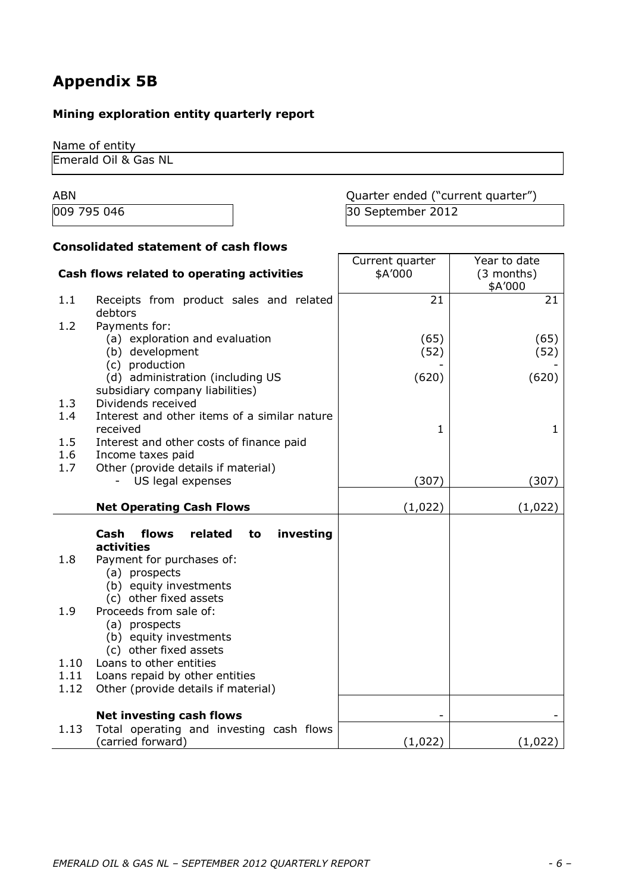# **Appendix 5B**

# **Mining exploration entity quarterly report**

Name of entity Emerald Oil & Gas NL

ABN ABN Cuarter ended ("current quarter") 009 795 046 30 September 2012

# **Consolidated statement of cash flows**

| Cash flows related to operating activities |                                                                                                | Current quarter<br>\$A'000 | Year to date<br>$(3$ months) |  |
|--------------------------------------------|------------------------------------------------------------------------------------------------|----------------------------|------------------------------|--|
|                                            |                                                                                                |                            | \$A'000                      |  |
| 1.1                                        | Receipts from product sales and related<br>debtors                                             | 21                         | 21                           |  |
| 1.2                                        | Payments for:                                                                                  |                            |                              |  |
|                                            | (a) exploration and evaluation<br>(b) development<br>(c) production                            | (65)<br>(52)               | (65)<br>(52)                 |  |
|                                            | (d) administration (including US<br>subsidiary company liabilities)                            | (620)                      | (620)                        |  |
| 1.3                                        | Dividends received                                                                             |                            |                              |  |
| 1.4                                        | Interest and other items of a similar nature                                                   |                            |                              |  |
|                                            | received                                                                                       | 1                          | $\mathbf{1}$                 |  |
| 1.5                                        | Interest and other costs of finance paid                                                       |                            |                              |  |
| 1.6                                        | Income taxes paid                                                                              |                            |                              |  |
| 1.7                                        | Other (provide details if material)                                                            |                            |                              |  |
|                                            | US legal expenses<br>$\sim$                                                                    | (307)                      | (307)                        |  |
|                                            | <b>Net Operating Cash Flows</b>                                                                | (1,022)                    | (1,022)                      |  |
|                                            | investing<br>flows<br>related<br>Cash<br>to<br>activities                                      |                            |                              |  |
| 1.8                                        | Payment for purchases of:<br>(a) prospects<br>(b) equity investments<br>(c) other fixed assets |                            |                              |  |
| 1.9                                        | Proceeds from sale of:<br>(a) prospects<br>(b) equity investments<br>(c) other fixed assets    |                            |                              |  |
| 1.10                                       | Loans to other entities                                                                        |                            |                              |  |
| 1.11                                       | Loans repaid by other entities                                                                 |                            |                              |  |
| 1.12                                       | Other (provide details if material)                                                            |                            |                              |  |
|                                            | <b>Net investing cash flows</b>                                                                |                            |                              |  |
| 1.13                                       | Total operating and investing cash flows<br>(carried forward)                                  | (1,022)                    | (1,022)                      |  |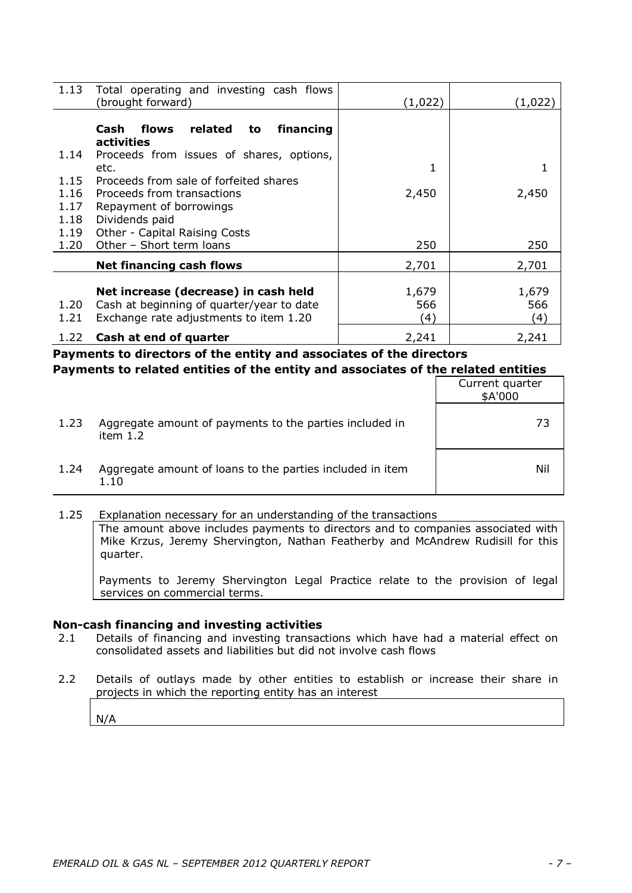| 1.13 | Total operating and investing cash flows<br>(brought forward) | (1,022) | (1,022) |
|------|---------------------------------------------------------------|---------|---------|
|      |                                                               |         |         |
|      | related<br>Cash<br>financing<br>flows<br>to                   |         |         |
|      | activities                                                    |         |         |
| 1.14 | Proceeds from issues of shares, options,                      |         |         |
|      | etc.                                                          |         |         |
| 1.15 | Proceeds from sale of forfeited shares                        |         |         |
| 1.16 | Proceeds from transactions                                    | 2,450   | 2,450   |
| 1.17 | Repayment of borrowings                                       |         |         |
| 1.18 | Dividends paid                                                |         |         |
| 1.19 | Other - Capital Raising Costs                                 |         |         |
| 1.20 | Other - Short term loans                                      | 250     | 250     |
|      | <b>Net financing cash flows</b>                               | 2,701   | 2,701   |
|      |                                                               |         |         |
|      | Net increase (decrease) in cash held                          | 1,679   | 1,679   |
| 1.20 | Cash at beginning of quarter/year to date                     | 566     | 566     |
| 1.21 | Exchange rate adjustments to item 1.20                        | (4)     | (4)     |
| 1.22 | Cash at end of quarter                                        | 2,241   | 2,241   |

**Payments to directors of the entity and associates of the directors Payments to related entities of the entity and associates of the related entities**

|      |                                                                       | Current quarter<br>\$A'000 |
|------|-----------------------------------------------------------------------|----------------------------|
| 1.23 | Aggregate amount of payments to the parties included in<br>item $1.2$ | 73                         |
| 1.24 | Aggregate amount of loans to the parties included in item<br>1.10     | Nil                        |

1.25 Explanation necessary for an understanding of the transactions The amount above includes payments to directors and to companies associated with Mike Krzus, Jeremy Shervington, Nathan Featherby and McAndrew Rudisill for this quarter.

Payments to Jeremy Shervington Legal Practice relate to the provision of legal services on commercial terms.

### **Non-cash financing and investing activities**

- 2.1 Details of financing and investing transactions which have had a material effect on consolidated assets and liabilities but did not involve cash flows
- 2.2 Details of outlays made by other entities to establish or increase their share in projects in which the reporting entity has an interest

N/A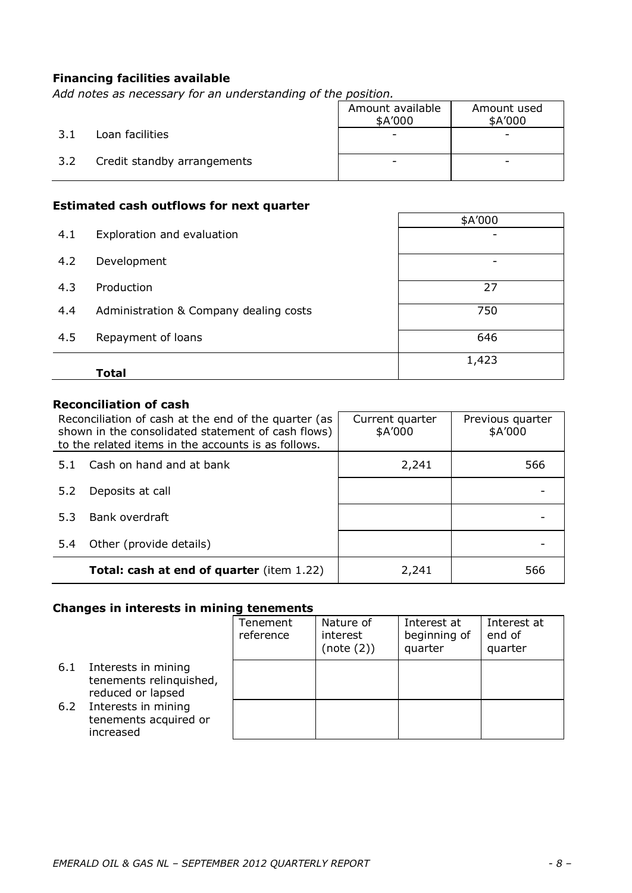### **Financing facilities available**

*Add notes as necessary for an understanding of the position.*

|     |                             | Amount available<br>\$A'000 | Amount used<br>\$A'000 |
|-----|-----------------------------|-----------------------------|------------------------|
| 3.1 | Loan facilities             |                             | -                      |
| 3.2 | Credit standby arrangements |                             | -                      |

# **Estimated cash outflows for next quarter**

|     |                                        | \$A'000 |  |
|-----|----------------------------------------|---------|--|
| 4.1 | Exploration and evaluation             |         |  |
| 4.2 | Development                            |         |  |
| 4.3 | Production                             | 27      |  |
| 4.4 | Administration & Company dealing costs | 750     |  |
| 4.5 | Repayment of loans                     | 646     |  |
|     |                                        | 1,423   |  |
|     | Total                                  |         |  |

# **Reconciliation of cash**

| Reconciliation of cash at the end of the quarter (as<br>shown in the consolidated statement of cash flows)<br>to the related items in the accounts is as follows. |                                                  | Current quarter<br>\$A'000 | Previous quarter<br>\$A'000 |
|-------------------------------------------------------------------------------------------------------------------------------------------------------------------|--------------------------------------------------|----------------------------|-----------------------------|
| 5.1                                                                                                                                                               | Cash on hand and at bank                         | 2,241                      | 566                         |
| 5.2                                                                                                                                                               | Deposits at call                                 |                            |                             |
| 5.3                                                                                                                                                               | Bank overdraft                                   |                            |                             |
| 5.4                                                                                                                                                               | Other (provide details)                          |                            |                             |
|                                                                                                                                                                   | <b>Total: cash at end of quarter</b> (item 1.22) | 2,241                      | 566                         |

## **Changes in interests in mining tenements**

|     |                                                                     | Tenement<br>reference | Nature of<br>interest<br>(note (2)) | Interest at<br>beginning of<br>quarter | Interest at<br>end of<br>quarter |
|-----|---------------------------------------------------------------------|-----------------------|-------------------------------------|----------------------------------------|----------------------------------|
| 6.1 | Interests in mining<br>tenements relinquished,<br>reduced or lapsed |                       |                                     |                                        |                                  |
| 6.2 | Interests in mining<br>tenements acquired or<br>increased           |                       |                                     |                                        |                                  |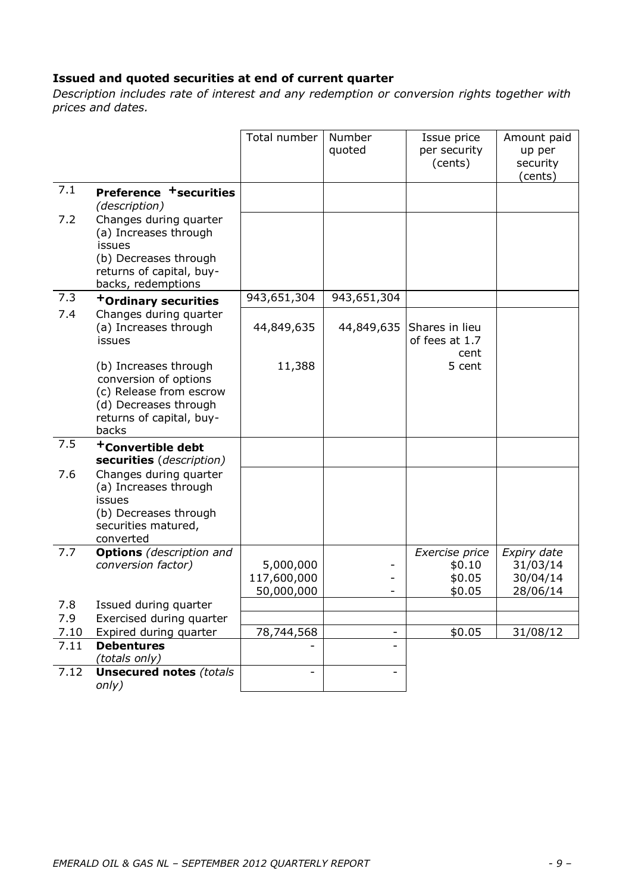# **Issued and quoted securities at end of current quarter**

*Description includes rate of interest and any redemption or conversion rights together with prices and dates.*

|      |                                                                                                                                         | Total number             | Number<br>quoted | Issue price<br>per security<br>(cents)   | Amount paid<br>up per<br>security<br>(cents) |
|------|-----------------------------------------------------------------------------------------------------------------------------------------|--------------------------|------------------|------------------------------------------|----------------------------------------------|
| 7.1  | Preference <sup>+</sup> securities<br>(description)                                                                                     |                          |                  |                                          |                                              |
| 7.2  | Changes during quarter<br>(a) Increases through<br>issues<br>(b) Decreases through<br>returns of capital, buy-<br>backs, redemptions    |                          |                  |                                          |                                              |
| 7.3  | +Ordinary securities                                                                                                                    | 943,651,304              | 943,651,304      |                                          |                                              |
| 7.4  | Changes during quarter<br>(a) Increases through<br>issues                                                                               | 44,849,635               | 44,849,635       | Shares in lieu<br>of fees at 1.7<br>cent |                                              |
|      | (b) Increases through<br>conversion of options<br>(c) Release from escrow<br>(d) Decreases through<br>returns of capital, buy-<br>backs | 11,388                   |                  | 5 cent                                   |                                              |
| 7.5  | <sup>+</sup> Convertible debt<br>securities (description)                                                                               |                          |                  |                                          |                                              |
| 7.6  | Changes during quarter<br>(a) Increases through<br>issues<br>(b) Decreases through<br>securities matured,<br>converted                  |                          |                  |                                          |                                              |
| 7.7  | <b>Options</b> (description and                                                                                                         |                          |                  | Exercise price                           | Expiry date                                  |
|      | conversion factor)                                                                                                                      | 5,000,000<br>117,600,000 | -                | \$0.10<br>\$0.05                         | 31/03/14<br>30/04/14                         |
|      |                                                                                                                                         | 50,000,000               |                  | \$0.05                                   | 28/06/14                                     |
| 7.8  | Issued during quarter                                                                                                                   |                          |                  |                                          |                                              |
| 7.9  | Exercised during quarter                                                                                                                |                          |                  |                                          |                                              |
| 7.10 | Expired during quarter                                                                                                                  | 78,744,568               |                  | \$0.05                                   | 31/08/12                                     |
| 7.11 | <b>Debentures</b><br>(totals only)                                                                                                      |                          |                  |                                          |                                              |
| 7.12 | <b>Unsecured notes (totals</b><br>only)                                                                                                 |                          |                  |                                          |                                              |